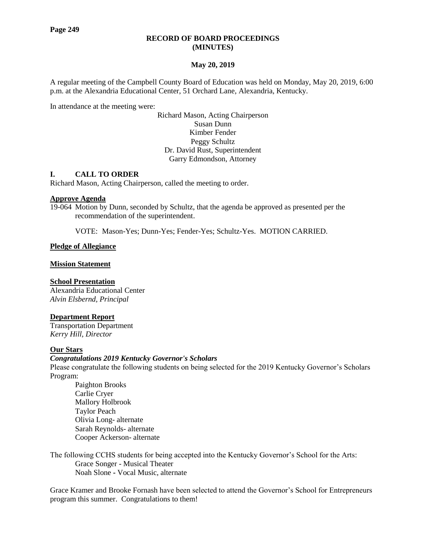#### **RECORD OF BOARD PROCEEDINGS (MINUTES)**

## **May 20, 2019**

A regular meeting of the Campbell County Board of Education was held on Monday, May 20, 2019, 6:00 p.m. at the Alexandria Educational Center, 51 Orchard Lane, Alexandria, Kentucky.

In attendance at the meeting were:

Richard Mason, Acting Chairperson Susan Dunn Kimber Fender Peggy Schultz Dr. David Rust, Superintendent Garry Edmondson, Attorney

## **I. CALL TO ORDER**

Richard Mason, Acting Chairperson, called the meeting to order.

#### **Approve Agenda**

19-064 Motion by Dunn, seconded by Schultz, that the agenda be approved as presented per the recommendation of the superintendent.

VOTE: Mason-Yes; Dunn-Yes; Fender-Yes; Schultz-Yes. MOTION CARRIED.

#### **Pledge of Allegiance**

**Mission Statement**

#### **School Presentation**

Alexandria Educational Center *Alvin Elsbernd, Principal*

#### **Department Report**

Transportation Department *Kerry Hill, Director*

## **Our Stars**

#### *[Congratulations 2019 Kentucky Governor's Scholars](http://www.campbellcountyschools.org/News/55189)*

Please congratulate the following students on being selected for the 2019 Kentucky Governor's Scholars Program:

Paighton Brooks Carlie Cryer Mallory Holbrook Taylor Peach Olivia Long- alternate Sarah Reynolds- alternate Cooper Ackerson- alternate

The following CCHS students for being accepted into the Kentucky Governor's School for the Arts: Grace Songer - Musical Theater Noah Slone **-** Vocal Music, alternate

Grace Kramer and Brooke Fornash have been selected to attend the Governor's School for Entrepreneurs program this summer. Congratulations to them!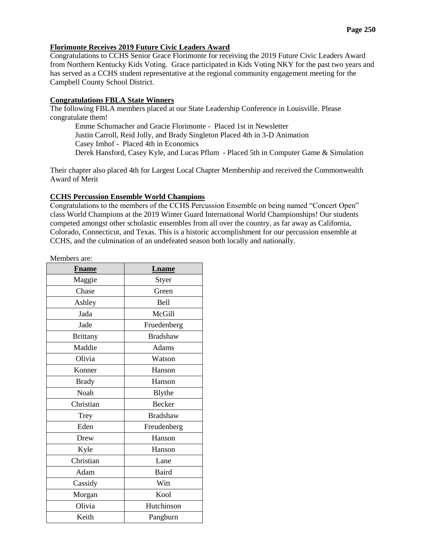#### **[Florimonte Receives 2019 Future Civic Leaders Award](http://www.campbellcountyschools.org/News/55171)**

Congratulations to CCHS Senior Grace Florimonte for receiving the 2019 Future Civic Leaders Award from Northern Kentucky Kids Voting. Grace participated in Kids Voting NKY for the past two years and has served as a CCHS student representative at the regional community engagement meeting for the Campbell County School District.

#### **[Congratulations FBLA State Winners](http://www.campbellcountyschools.org/News/55175)**

The following FBLA members placed at our State Leadership Conference in Louisville. Please congratulate them!

Emme Schumacher and Gracie Florimonte - Placed 1st in Newsletter Justin Carroll, Reid Jolly, and Brady Singleton Placed 4th in 3-D Animation Casey Imhof - Placed 4th in Economics Derek Hansford, Casey Kyle, and Lucas Pflum - Placed 5th in Computer Game & Simulation

Their chapter also placed 4th for Largest Local Chapter Membership and received the Commonwealth Award of Merit

#### **[CCHS Percussion Ensemble World Champions](http://www.campbellcountyschools.org/News/55173)**

Congratulations to the members of the CCHS Percussion Ensemble on being named "Concert Open" class World Champions at the 2019 Winter Guard International World Championships! Our students competed amongst other scholastic ensembles from all over the country, as far away as California, Colorado, Connecticut, and Texas. This is a historic accomplishment for our percussion ensemble at CCHS, and the culmination of an undefeated season both locally and nationally.

Members are:

| <b>Fname</b>    | <b>Lname</b>    |  |  |
|-----------------|-----------------|--|--|
| Maggie          | Styer           |  |  |
| Chase           | Green           |  |  |
| Ashley          | Bell            |  |  |
| Jada            | McGill          |  |  |
| Jade            | Fruedenberg     |  |  |
| <b>Brittany</b> | <b>Bradshaw</b> |  |  |
| Maddie          | Adams           |  |  |
| Olivia          | Watson          |  |  |
| Konner          | Hanson          |  |  |
| <b>Brady</b>    | Hanson          |  |  |
| Noah            | Blythe          |  |  |
| Christian       | <b>Becker</b>   |  |  |
| Trey            | <b>Bradshaw</b> |  |  |
| Eden            | Freudenberg     |  |  |
| Drew            | Hanson          |  |  |
| Kyle            | Hanson          |  |  |
| Christian       | Lane            |  |  |
| Adam            | <b>Baird</b>    |  |  |
| Cassidy         | Witt            |  |  |
| Morgan          | Kool            |  |  |
| Olivia          | Hutchinson      |  |  |
| Keith           | Pangburn        |  |  |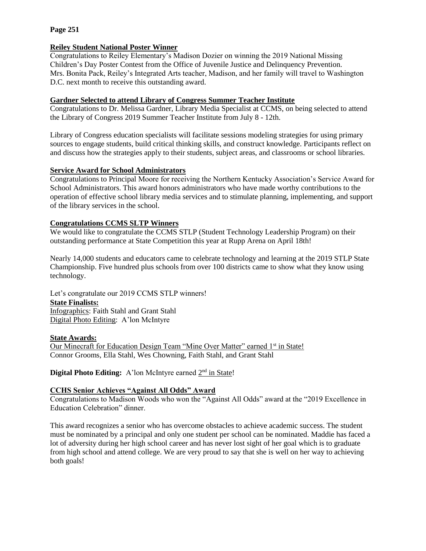## **[Reiley Student National Poster Winner](http://www.campbellcountyschools.org/News/55181)**

Congratulations to Reiley Elementary's Madison Dozier on winning the 2019 National Missing Children's Day Poster Contest from the Office of Juvenile Justice and Delinquency Prevention. Mrs. Bonita Pack, Reiley's Integrated Arts teacher, Madison, and her family will travel to Washington D.C. next month to receive this outstanding award.

# **[Gardner Selected to attend Library of Congress Summer Teacher Institute](http://www.campbellcountyschools.org/News/55188)**

Congratulations to Dr. Melissa Gardner, Library Media Specialist at CCMS, on being selected to attend the Library of Congress 2019 Summer Teacher Institute from July 8 - 12th.

Library of Congress education specialists will facilitate sessions modeling strategies for using primary sources to engage students, build critical thinking skills, and construct knowledge. Participants reflect on and discuss how the strategies apply to their students, subject areas, and classrooms or school libraries.

# **Service Award for School Administrators**

Congratulations to Principal Moore for receiving the Northern Kentucky Association's Service Award for School Administrators. This award honors administrators who have made worthy contributions to the operation of effective school library media services and to stimulate planning, implementing, and support of the library services in the school.

# **Congratulations CCMS SLTP Winners**

We would like to congratulate the CCMS STLP (Student Technology Leadership Program) on their outstanding performance at State Competition this year at Rupp Arena on April 18th!

Nearly 14,000 students and educators came to celebrate technology and learning at the 2019 STLP State Championship. Five hundred plus schools from over 100 districts came to show what they know using technology.

Let's congratulate our 2019 CCMS STLP winners! **State Finalists:** Infographics: Faith Stahl and Grant Stahl Digital Photo Editing: A'lon McIntyre

# **State Awards:**

Our Minecraft for Education Design Team "Mine Over Matter" earned 1<sup>st</sup> in State! Connor Grooms, Ella Stahl, Wes Chowning, Faith Stahl, and Grant Stahl

## Digital Photo Editing: A'lon McIntyre earned 2<sup>nd</sup> in State!

## **CCHS Senior Achieves "Against All Odds" Award**

Congratulations to Madison Woods who won the "Against All Odds" award at the "2019 Excellence in Education Celebration" dinner.

This award recognizes a senior who has overcome obstacles to achieve academic success. The student must be nominated by a principal and only one student per school can be nominated. Maddie has faced a lot of adversity during her high school career and has never lost sight of her goal which is to graduate from high school and attend college. We are very proud to say that she is well on her way to achieving both goals!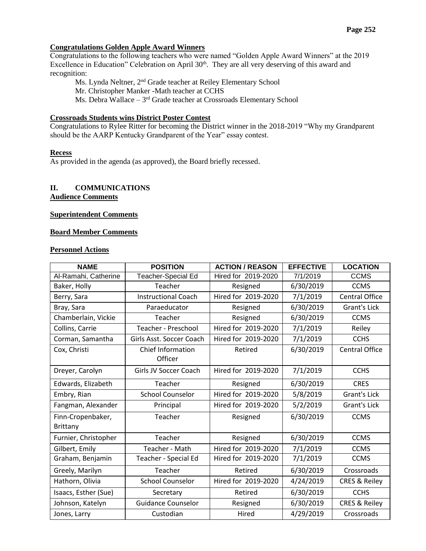# **Congratulations Golden Apple Award Winners**

Congratulations to the following teachers who were named "Golden Apple Award Winners" at the 2019 Excellence in Education" Celebration on April  $30<sup>th</sup>$ . They are all very deserving of this award and recognition:

Ms. Lynda Neltner, 2nd Grade teacher at Reiley Elementary School

Mr. Christopher Manker -Math teacher at CCHS

Ms. Debra Wallace - 3<sup>rd</sup> Grade teacher at Crossroads Elementary School

## **Crossroads Students wins District Poster Contest**

Congratulations to Rylee Ritter for becoming the District winner in the 2018-2019 "Why my Grandparent should be the AARP Kentucky Grandparent of the Year" essay contest.

#### **Recess**

As provided in the agenda (as approved), the Board briefly recessed.

#### **II. COMMUNICATIONS Audience Comments**

# **Superintendent Comments**

#### **Board Member Comments**

#### **Personnel Actions**

| <b>NAME</b>                          | <b>POSITION</b><br><b>ACTION / REASON</b> |                       | <b>EFFECTIVE</b> | <b>LOCATION</b>          |
|--------------------------------------|-------------------------------------------|-----------------------|------------------|--------------------------|
| Al-Ramahi, Catherine                 | Teacher-Special Ed                        | Hired for 2019-2020   | 7/1/2019         | <b>CCMS</b>              |
| Baker, Holly                         | Teacher<br>Resigned                       |                       | 6/30/2019        | <b>CCMS</b>              |
| Berry, Sara                          | <b>Instructional Coach</b>                | Hired for 2019-2020   | 7/1/2019         | <b>Central Office</b>    |
| Bray, Sara                           | Paraeducator<br>Resigned                  |                       | 6/30/2019        | <b>Grant's Lick</b>      |
| Chamberlain, Vickie                  | Teacher                                   | Resigned              | 6/30/2019        | <b>CCMS</b>              |
| Collins, Carrie                      | Teacher - Preschool                       | Hired for 2019-2020   | 7/1/2019         | Reiley                   |
| Corman, Samantha                     | Girls Asst. Soccer Coach                  | Hired for 2019-2020   | 7/1/2019         | <b>CCHS</b>              |
| Cox, Christi                         | <b>Chief Information</b><br>Officer       | Retired               | 6/30/2019        | <b>Central Office</b>    |
| Dreyer, Carolyn                      | Girls JV Soccer Coach                     | Hired for 2019-2020   |                  | <b>CCHS</b>              |
| Edwards, Elizabeth                   | Teacher                                   | 6/30/2019<br>Resigned |                  | <b>CRES</b>              |
| Embry, Rian                          | <b>School Counselor</b>                   | Hired for 2019-2020   | 5/8/2019         | <b>Grant's Lick</b>      |
| Fangman, Alexander                   | Principal                                 | Hired for 2019-2020   | 5/2/2019         | <b>Grant's Lick</b>      |
| Finn-Cropenbaker,<br><b>Brittany</b> | Teacher                                   | Resigned              | 6/30/2019        | <b>CCMS</b>              |
| Furnier, Christopher                 | Teacher<br>Resigned                       |                       | 6/30/2019        | <b>CCMS</b>              |
| Gilbert, Emily                       | Teacher - Math                            | Hired for 2019-2020   | 7/1/2019         | <b>CCMS</b>              |
| Graham, Benjamin                     | Teacher - Special Ed                      | Hired for 2019-2020   | 7/1/2019         | <b>CCMS</b>              |
| Greely, Marilyn                      | Teacher                                   | Retired               | 6/30/2019        | Crossroads               |
| Hathorn, Olivia                      | <b>School Counselor</b>                   | Hired for 2019-2020   | 4/24/2019        | <b>CRES &amp; Reiley</b> |
| Isaacs, Esther (Sue)                 | Secretary                                 | Retired               | 6/30/2019        | <b>CCHS</b>              |
| Johnson, Katelyn                     | <b>Guidance Counselor</b>                 | Resigned              | 6/30/2019        | <b>CRES &amp; Reiley</b> |
| Jones, Larry                         | Custodian                                 | Hired                 | 4/29/2019        | Crossroads               |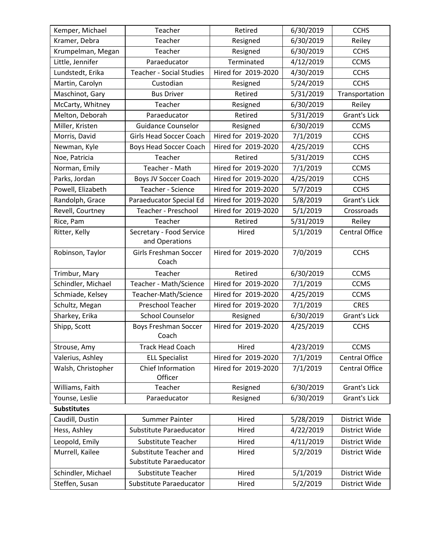| Kemper, Michael    | Teacher<br>Retired                   |                     | 6/30/2019 | <b>CCHS</b>           |
|--------------------|--------------------------------------|---------------------|-----------|-----------------------|
| Kramer, Debra      | Teacher                              | Resigned            | 6/30/2019 | Reiley                |
| Krumpelman, Megan  | Teacher                              | Resigned            | 6/30/2019 | <b>CCHS</b>           |
| Little, Jennifer   | Paraeducator                         | Terminated          | 4/12/2019 | <b>CCMS</b>           |
| Lundstedt, Erika   | <b>Teacher - Social Studies</b>      | Hired for 2019-2020 | 4/30/2019 | <b>CCHS</b>           |
| Martin, Carolyn    | Custodian                            | Resigned            | 5/24/2019 | <b>CCHS</b>           |
| Maschinot, Gary    | <b>Bus Driver</b>                    | Retired             | 5/31/2019 | Transportation        |
| McCarty, Whitney   | Teacher                              | Resigned            | 6/30/2019 | Reiley                |
| Melton, Deborah    | Paraeducator                         | Retired             | 5/31/2019 | <b>Grant's Lick</b>   |
| Miller, Kristen    | <b>Guidance Counselor</b>            | Resigned            | 6/30/2019 | <b>CCMS</b>           |
| Morris, David      | <b>Girls Head Soccer Coach</b>       | Hired for 2019-2020 | 7/1/2019  | <b>CCHS</b>           |
| Newman, Kyle       | <b>Boys Head Soccer Coach</b>        | Hired for 2019-2020 | 4/25/2019 | <b>CCHS</b>           |
| Noe, Patricia      | Teacher                              | Retired             | 5/31/2019 | <b>CCHS</b>           |
| Norman, Emily      | Teacher - Math                       | Hired for 2019-2020 | 7/1/2019  | <b>CCMS</b>           |
| Parks, Jordan      | Boys JV Soccer Coach                 | Hired for 2019-2020 | 4/25/2019 | <b>CCHS</b>           |
| Powell, Elizabeth  | Teacher - Science                    | Hired for 2019-2020 | 5/7/2019  | <b>CCHS</b>           |
| Randolph, Grace    | Paraeducator Special Ed              | Hired for 2019-2020 | 5/8/2019  | <b>Grant's Lick</b>   |
| Revell, Courtney   | Teacher - Preschool                  | Hired for 2019-2020 | 5/1/2019  | Crossroads            |
| Rice, Pam          | Teacher                              | Retired             | 5/31/2019 | Reiley                |
| Ritter, Kelly      | Secretary - Food Service             | Hired               | 5/1/2019  | <b>Central Office</b> |
|                    | and Operations                       |                     |           |                       |
| Robinson, Taylor   | Girls Freshman Soccer                | Hired for 2019-2020 | 7/0/2019  | <b>CCHS</b>           |
|                    | Coach                                |                     |           |                       |
| Trimbur, Mary      | Teacher                              | Retired             | 6/30/2019 | <b>CCMS</b>           |
| Schindler, Michael | Teacher - Math/Science               | Hired for 2019-2020 | 7/1/2019  | <b>CCMS</b>           |
| Schmiade, Kelsey   | Teacher-Math/Science                 | Hired for 2019-2020 | 4/25/2019 | <b>CCMS</b>           |
| Schultz, Megan     | <b>Preschool Teacher</b>             | Hired for 2019-2020 | 7/1/2019  | <b>CRES</b>           |
| Sharkey, Erika     | <b>School Counselor</b>              | Resigned            | 6/30/2019 | Grant's Lick          |
| Shipp, Scott       | <b>Boys Freshman Soccer</b><br>Coach | Hired for 2019-2020 | 4/25/2019 | <b>CCHS</b>           |
| Strouse, Amy       | <b>Track Head Coach</b>              | Hired               | 4/23/2019 | <b>CCMS</b>           |
| Valerius, Ashley   | <b>ELL Specialist</b>                | Hired for 2019-2020 | 7/1/2019  | <b>Central Office</b> |
| Walsh, Christopher | Chief Information                    | Hired for 2019-2020 | 7/1/2019  | Central Office        |
|                    | Officer                              |                     |           |                       |
| Williams, Faith    | Teacher<br>Resigned                  |                     | 6/30/2019 | <b>Grant's Lick</b>   |
| Younse, Leslie     | Paraeducator                         | Resigned            | 6/30/2019 | Grant's Lick          |
| <b>Substitutes</b> |                                      |                     |           |                       |
| Caudill, Dustin    | <b>Summer Painter</b>                | Hired               | 5/28/2019 | <b>District Wide</b>  |
| Hess, Ashley       | Substitute Paraeducator              | Hired               | 4/22/2019 | District Wide         |
| Leopold, Emily     | Substitute Teacher                   | Hired               | 4/11/2019 | District Wide         |
| Murrell, Kailee    | Substitute Teacher and               | Hired               | 5/2/2019  | District Wide         |
|                    | Substitute Paraeducator              |                     |           |                       |
| Schindler, Michael | Substitute Teacher<br>Hired          |                     | 5/1/2019  | District Wide         |
| Steffen, Susan     | Substitute Paraeducator<br>Hired     |                     | 5/2/2019  | District Wide         |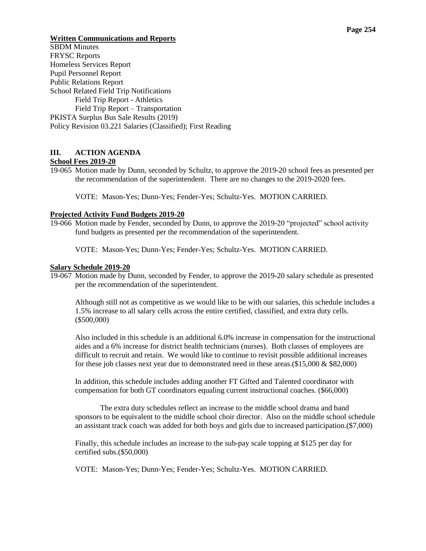## **Written Communications and Reports**

SBDM Minutes FRYSC Reports Homeless Services Report Pupil Personnel Report Public Relations Report School Related Field Trip Notifications Field Trip Report - Athletics Field Trip Report – Transportation PKISTA Surplus Bus Sale Results (2019) Policy Revision 03.221 Salaries (Classified); First Reading

# **III. ACTION AGENDA**

# **School Fees 2019-20**

19-065 Motion made by Dunn, seconded by Schultz, to approve the 2019-20 school fees as presented per the recommendation of the superintendent. There are no changes to the 2019-2020 fees.

VOTE: Mason-Yes; Dunn-Yes; Fender-Yes; Schultz-Yes. MOTION CARRIED.

#### **Projected Activity Fund Budgets 2019-20**

19-066 Motion made by Fender, seconded by Dunn, to approve the 2019-20 "projected" school activity fund budgets as presented per the recommendation of the superintendent.

VOTE: Mason-Yes; Dunn-Yes; Fender-Yes; Schultz-Yes. MOTION CARRIED.

#### **Salary Schedule 2019-20**

19-067 Motion made by Dunn, seconded by Fender, to approve the 2019-20 salary schedule as presented per the recommendation of the superintendent.

Although still not as competitive as we would like to be with our salaries, this schedule includes a 1.5% increase to all salary cells across the entire certified, classified, and extra duty cells. (\$500,000)

Also included in this schedule is an additional 6.0% increase in compensation for the instructional aides and a 6% increase for district health technicians (nurses). Both classes of employees are difficult to recruit and retain. We would like to continue to revisit possible additional increases for these job classes next year due to demonstrated need in these areas. $(\$15,000 \& \$82,000)$ 

In addition, this schedule includes adding another FT Gifted and Talented coordinator with compensation for both GT coordinators equaling current instructional coaches. (\$66,000)

The extra duty schedules reflect an increase to the middle school drama and band sponsors to be equivalent to the middle school choir director. Also on the middle school schedule an assistant track coach was added for both boys and girls due to increased participation.(\$7,000)

Finally, this schedule includes an increase to the sub-pay scale topping at \$125 per day for certified subs.(\$50,000)

VOTE: Mason-Yes; Dunn-Yes; Fender-Yes; Schultz-Yes. MOTION CARRIED.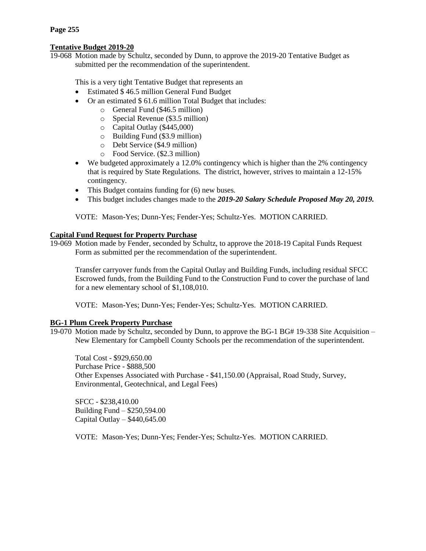# **Tentative Budget 2019-20**

19-068 Motion made by Schultz, seconded by Dunn, to approve the 2019-20 Tentative Budget as submitted per the recommendation of the superintendent.

This is a very tight Tentative Budget that represents an

- Estimated \$46.5 million General Fund Budget
- Or an estimated \$ 61.6 million Total Budget that includes:
	- o General Fund (\$46.5 million)
	- o Special Revenue (\$3.5 million)
	- o Capital Outlay (\$445,000)
	- o Building Fund (\$3.9 million)
	- o Debt Service (\$4.9 million)
	- o Food Service. (\$2.3 million)
- We budgeted approximately a 12.0% contingency which is higher than the 2% contingency that is required by State Regulations. The district, however, strives to maintain a 12-15% contingency.
- This Budget contains funding for (6) new buses.
- This budget includes changes made to the *2019-20 Salary Schedule Proposed May 20, 2019.*

VOTE: Mason-Yes; Dunn-Yes; Fender-Yes; Schultz-Yes. MOTION CARRIED.

## **Capital Fund Request for Property Purchase**

19-069 Motion made by Fender, seconded by Schultz, to approve the 2018-19 Capital Funds Request Form as submitted per the recommendation of the superintendent.

Transfer carryover funds from the Capital Outlay and Building Funds, including residual SFCC Escrowed funds, from the Building Fund to the Construction Fund to cover the purchase of land for a new elementary school of \$1,108,010.

VOTE: Mason-Yes; Dunn-Yes; Fender-Yes; Schultz-Yes. MOTION CARRIED.

## **BG-1 Plum Creek Property Purchase**

19-070 Motion made by Schultz, seconded by Dunn, to approve the BG-1 BG# 19-338 Site Acquisition – New Elementary for Campbell County Schools per the recommendation of the superintendent.

Total Cost - \$929,650.00 Purchase Price - \$888,500 Other Expenses Associated with Purchase - \$41,150.00 (Appraisal, Road Study, Survey, Environmental, Geotechnical, and Legal Fees)

SFCC - \$238,410.00 Building Fund – \$250,594.00 Capital Outlay – \$440,645.00

VOTE: Mason-Yes; Dunn-Yes; Fender-Yes; Schultz-Yes. MOTION CARRIED.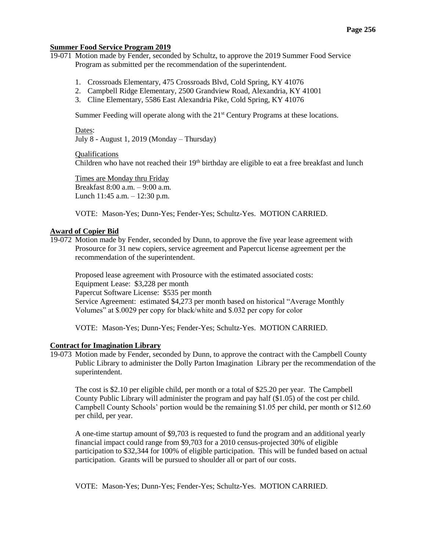#### **Summer Food Service Program 2019**

19-071 Motion made by Fender, seconded by Schultz, to approve the 2019 Summer Food Service Program as submitted per the recommendation of the superintendent.

- 1. Crossroads Elementary, 475 Crossroads Blvd, Cold Spring, KY 41076
- 2. Campbell Ridge Elementary, 2500 Grandview Road, Alexandria, KY 41001
- 3. Cline Elementary, 5586 East Alexandria Pike, Cold Spring, KY 41076

Summer Feeding will operate along with the  $21<sup>st</sup>$  Century Programs at these locations.

#### Dates:

July 8 - August 1, 2019 (Monday – Thursday)

#### Qualifications

Children who have not reached their  $19<sup>th</sup>$  birthday are eligible to eat a free breakfast and lunch

Times are Monday thru Friday Breakfast 8:00 a.m. – 9:00 a.m. Lunch 11:45 a.m. – 12:30 p.m.

VOTE: Mason-Yes; Dunn-Yes; Fender-Yes; Schultz-Yes. MOTION CARRIED.

## **Award of Copier Bid**

19-072 Motion made by Fender, seconded by Dunn, to approve the five year lease agreement with Prosource for 31 new copiers, service agreement and Papercut license agreement per the recommendation of the superintendent.

Proposed lease agreement with Prosource with the estimated associated costs: Equipment Lease: \$3,228 per month Papercut Software License: \$535 per month Service Agreement: estimated \$4,273 per month based on historical "Average Monthly Volumes" at \$.0029 per copy for black/white and \$.032 per copy for color

VOTE: Mason-Yes; Dunn-Yes; Fender-Yes; Schultz-Yes. MOTION CARRIED.

#### **Contract for Imagination Library**

19-073 Motion made by Fender, seconded by Dunn, to approve the contract with the Campbell County Public Library to administer the Dolly Parton Imagination Library per the recommendation of the superintendent.

The cost is \$2.10 per eligible child, per month or a total of \$25.20 per year. The Campbell County Public Library will administer the program and pay half (\$1.05) of the cost per child. Campbell County Schools' portion would be the remaining \$1.05 per child, per month or \$12.60 per child, per year.

A one-time startup amount of \$9,703 is requested to fund the program and an additional yearly financial impact could range from \$9,703 for a 2010 census-projected 30% of eligible participation to \$32,344 for 100% of eligible participation. This will be funded based on actual participation. Grants will be pursued to shoulder all or part of our costs.

VOTE: Mason-Yes; Dunn-Yes; Fender-Yes; Schultz-Yes. MOTION CARRIED.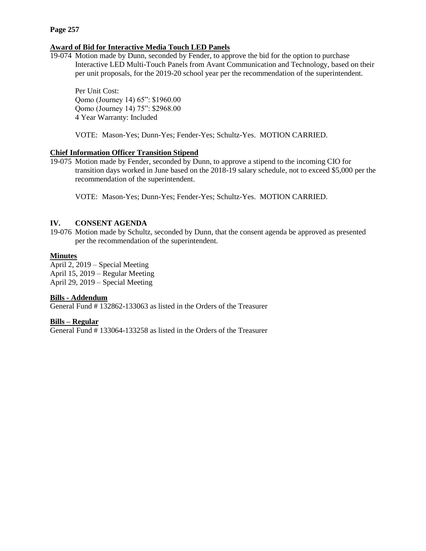## **Award of Bid for Interactive Media Touch LED Panels**

19-074 Motion made by Dunn, seconded by Fender, to approve the bid for the option to purchase Interactive LED Multi-Touch Panels from Avant Communication and Technology, based on their per unit proposals, for the 2019-20 school year per the recommendation of the superintendent.

Per Unit Cost: Qomo (Journey 14) 65": \$1960.00 Qomo (Journey 14) 75": \$2968.00 4 Year Warranty: Included

VOTE: Mason-Yes; Dunn-Yes; Fender-Yes; Schultz-Yes. MOTION CARRIED.

# **Chief Information Officer Transition Stipend**

19-075 Motion made by Fender, seconded by Dunn, to approve a stipend to the incoming CIO for transition days worked in June based on the 2018-19 salary schedule, not to exceed \$5,000 per the recommendation of the superintendent.

VOTE: Mason-Yes; Dunn-Yes; Fender-Yes; Schultz-Yes. MOTION CARRIED.

#### **IV. CONSENT AGENDA**

19-076 Motion made by Schultz, seconded by Dunn, that the consent agenda be approved as presented per the recommendation of the superintendent.

## **Minutes**

April 2, 2019 – Special Meeting April 15, 2019 – Regular Meeting April 29, 2019 – Special Meeting

#### **Bills - Addendum**

General Fund # 132862-133063 as listed in the Orders of the Treasurer

#### **Bills – Regular**

General Fund # 133064-133258 as listed in the Orders of the Treasurer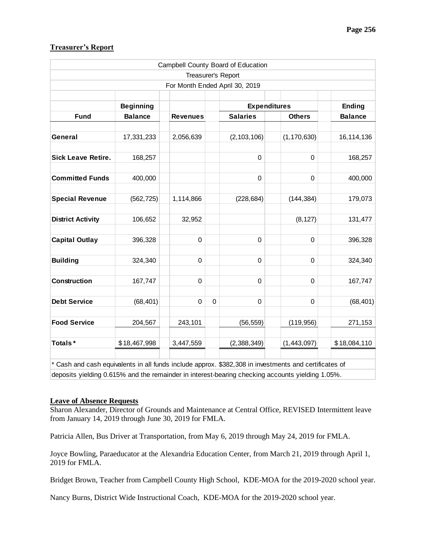|                                                                                                                                                                                                           |                  |                                |             | Campbell County Board of Education |               |                |
|-----------------------------------------------------------------------------------------------------------------------------------------------------------------------------------------------------------|------------------|--------------------------------|-------------|------------------------------------|---------------|----------------|
|                                                                                                                                                                                                           |                  | Treasurer's Report             |             |                                    |               |                |
|                                                                                                                                                                                                           |                  | For Month Ended April 30, 2019 |             |                                    |               |                |
|                                                                                                                                                                                                           | <b>Beginning</b> |                                |             | <b>Expenditures</b>                |               | <b>Ending</b>  |
| <b>Fund</b>                                                                                                                                                                                               | <b>Balance</b>   | <b>Revenues</b>                |             | <b>Salaries</b>                    | <b>Others</b> | <b>Balance</b> |
| General                                                                                                                                                                                                   | 17,331,233       | 2,056,639                      |             | (2, 103, 106)                      | (1, 170, 630) | 16, 114, 136   |
| Sick Leave Retire.                                                                                                                                                                                        | 168,257          |                                |             | $\pmb{0}$                          | $\pmb{0}$     | 168,257        |
| <b>Committed Funds</b>                                                                                                                                                                                    | 400,000          |                                |             | 0                                  | $\mathbf 0$   | 400,000        |
| <b>Special Revenue</b>                                                                                                                                                                                    | (562, 725)       | 1,114,866                      |             | (228, 684)                         | (144, 384)    | 179,073        |
| <b>District Activity</b>                                                                                                                                                                                  | 106,652          | 32,952                         |             |                                    | (8, 127)      | 131,477        |
| <b>Capital Outlay</b>                                                                                                                                                                                     | 396,328          | $\mathbf 0$                    |             | 0                                  | $\mathbf 0$   | 396,328        |
| <b>Building</b>                                                                                                                                                                                           | 324,340          | 0                              |             | 0                                  | $\mathbf 0$   | 324,340        |
| Construction                                                                                                                                                                                              | 167,747          | $\mathbf 0$                    |             | $\mathbf 0$                        | $\mathbf 0$   | 167,747        |
| <b>Debt Service</b>                                                                                                                                                                                       | (68, 401)        | $\mathbf 0$                    | $\mathbf 0$ | 0                                  | $\mathbf 0$   | (68, 401)      |
| <b>Food Service</b>                                                                                                                                                                                       | 204,567          | 243,101                        |             | (56, 559)                          | (119, 956)    | 271,153        |
| Totals*                                                                                                                                                                                                   | \$18,467,998     | 3,447,559                      |             | (2,388,349)                        | (1,443,097)   | \$18,084,110   |
| * Cash and cash equivalents in all funds include approx. \$382,308 in investments and certificates of<br>deposits yielding 0.615% and the remainder in interest-bearing checking accounts yielding 1.05%. |                  |                                |             |                                    |               |                |

# **Treasurer's Report**

#### **Leave of Absence Requests**

Sharon Alexander, Director of Grounds and Maintenance at Central Office, REVISED Intermittent leave from January 14, 2019 through June 30, 2019 for FMLA.

Patricia Allen, Bus Driver at Transportation, from May 6, 2019 through May 24, 2019 for FMLA.

Joyce Bowling, Paraeducator at the Alexandria Education Center, from March 21, 2019 through April 1, 2019 for FMLA.

Bridget Brown, Teacher from Campbell County High School, KDE-MOA for the 2019-2020 school year.

Nancy Burns, District Wide Instructional Coach, KDE-MOA for the 2019-2020 school year.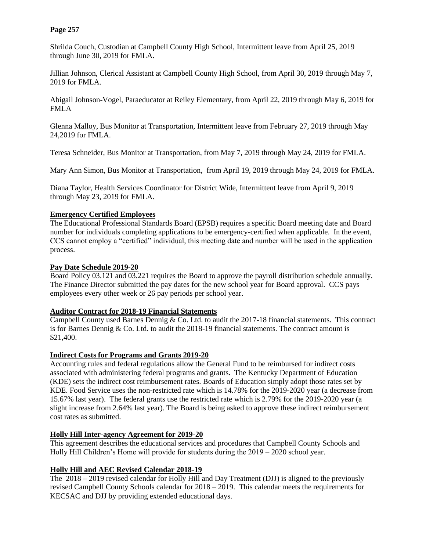Shrilda Couch, Custodian at Campbell County High School, Intermittent leave from April 25, 2019 through June 30, 2019 for FMLA.

Jillian Johnson, Clerical Assistant at Campbell County High School, from April 30, 2019 through May 7, 2019 for FMLA.

Abigail Johnson-Vogel, Paraeducator at Reiley Elementary, from April 22, 2019 through May 6, 2019 for FMLA

Glenna Malloy, Bus Monitor at Transportation, Intermittent leave from February 27, 2019 through May 24,2019 for FMLA.

Teresa Schneider, Bus Monitor at Transportation, from May 7, 2019 through May 24, 2019 for FMLA.

Mary Ann Simon, Bus Monitor at Transportation, from April 19, 2019 through May 24, 2019 for FMLA.

Diana Taylor, Health Services Coordinator for District Wide, Intermittent leave from April 9, 2019 through May 23, 2019 for FMLA.

# **Emergency Certified Employees**

The Educational Professional Standards Board (EPSB) requires a specific Board meeting date and Board number for individuals completing applications to be emergency-certified when applicable. In the event, CCS cannot employ a "certified" individual, this meeting date and number will be used in the application process.

# **Pay Date Schedule 2019-20**

Board Policy 03.121 and 03.221 requires the Board to approve the payroll distribution schedule annually. The Finance Director submitted the pay dates for the new school year for Board approval. CCS pays employees every other week or 26 pay periods per school year.

## **Auditor Contract for 2018-19 Financial Statements**

Campbell County used Barnes Dennig & Co. Ltd. to audit the 2017-18 financial statements. This contract is for Barnes Dennig & Co. Ltd. to audit the 2018-19 financial statements. The contract amount is \$21,400.

## **Indirect Costs for Programs and Grants 2019-20**

Accounting rules and federal regulations allow the General Fund to be reimbursed for indirect costs associated with administering federal programs and grants. The Kentucky Department of Education (KDE) sets the indirect cost reimbursement rates. Boards of Education simply adopt those rates set by KDE. Food Service uses the non-restricted rate which is 14.78% for the 2019-2020 year (a decrease from 15.67% last year). The federal grants use the restricted rate which is 2.79% for the 2019-2020 year (a slight increase from 2.64% last year). The Board is being asked to approve these indirect reimbursement cost rates as submitted.

# **Holly Hill Inter-agency Agreement for 2019-20**

This agreement describes the educational services and procedures that Campbell County Schools and Holly Hill Children's Home will provide for students during the  $2019 - 2020$  school year.

# **Holly Hill and AEC Revised Calendar 2018-19**

The 2018 – 2019 revised calendar for Holly Hill and Day Treatment (DJJ) is aligned to the previously revised Campbell County Schools calendar for 2018 – 2019. This calendar meets the requirements for KECSAC and DJJ by providing extended educational days.